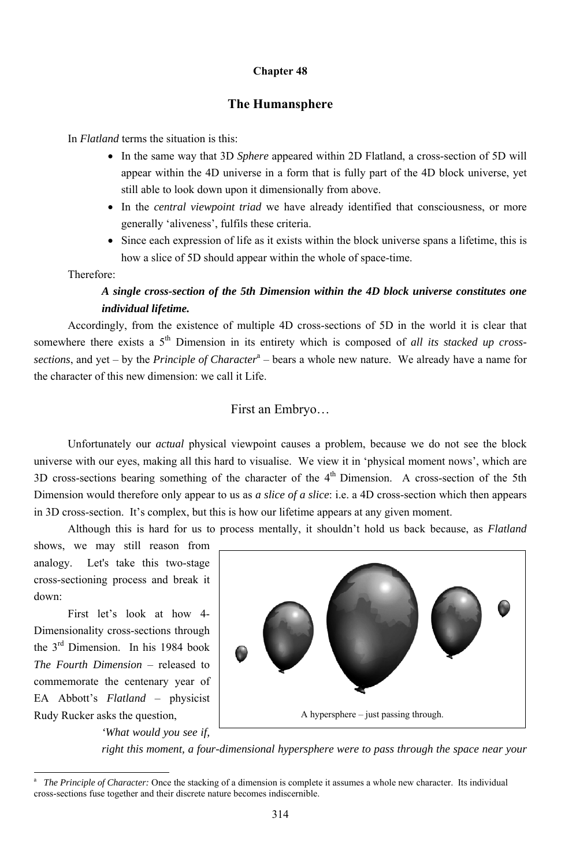#### **Chapter 48**

### **The Humansphere**

In *Flatland* terms the situation is this:

- In the same way that 3D *Sphere* appeared within 2D Flatland, a cross-section of 5D will appear within the 4D universe in a form that is fully part of the 4D block universe, yet still able to look down upon it dimensionally from above.
- In the *central viewpoint triad* we have already identified that consciousness, or more generally 'aliveness', fulfils these criteria.
- Since each expression of life as it exists within the block universe spans a lifetime, this is how a slice of 5D should appear within the whole of space-time.

Therefore:

# *A single cross-section of the 5th Dimension within the 4D block universe constitutes one individual lifetime.*

Accordingly, from the existence of multiple 4D cross-sections of 5D in the world it is clear that somewhere there exists a 5<sup>th</sup> Dimension in its entirety which is composed of *all its stacked up cross*sections, and yet – by the *Principle of Character*<sup>a</sup> – bears a whole new nature. We already have a name for the character of this new dimension: we call it Life.

# First an Embryo…

Unfortunately our *actual* physical viewpoint causes a problem, because we do not see the block universe with our eyes, making all this hard to visualise. We view it in 'physical moment nows', which are 3D cross-sections bearing something of the character of the 4<sup>th</sup> Dimension. A cross-section of the 5th Dimension would therefore only appear to us as *a slice of a slice*: i.e. a 4D cross-section which then appears in 3D cross-section. It's complex, but this is how our lifetime appears at any given moment.

Although this is hard for us to process mentally, it shouldn't hold us back because, as *Flatland*

shows, we may still reason from analogy. Let's take this two-stage cross-sectioning process and break it down:

First let's look at how 4- Dimensionality cross-sections through

the 3rd Dimension. In his 1984 book *The Fourth Dimension* – released to commemorate the centenary year of EA Abbott's *Flatland* – physicist Rudy Rucker asks the question,

*'What would you see if,* 

*right this moment, a four-dimensional hypersphere were to pass through the space near your* 



<sup>314</sup>

<sup>—&</sup>lt;br>a *The Principle of Character:* Once the stacking of a dimension is complete it assumes a whole new character. Its individual cross-sections fuse together and their discrete nature becomes indiscernible.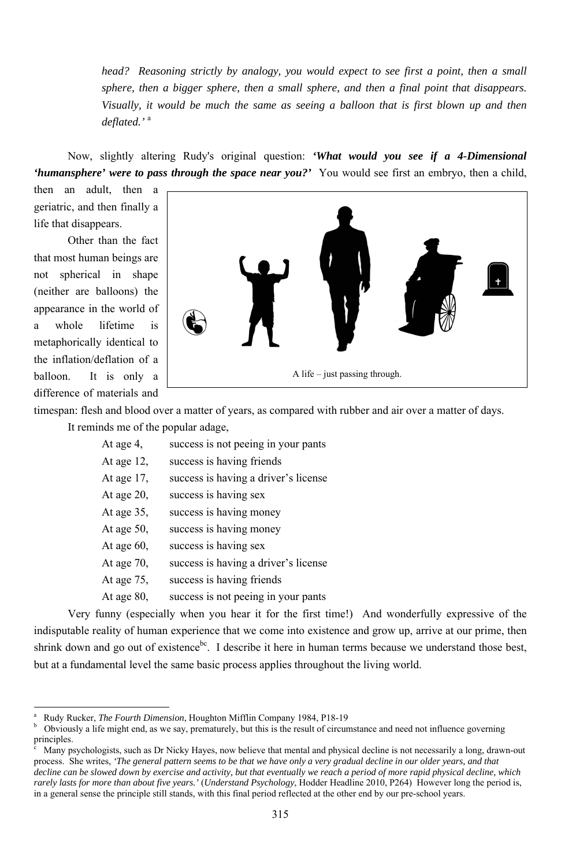315

*head? Reasoning strictly by analogy, you would expect to see first a point, then a small sphere, then a bigger sphere, then a small sphere, and then a final point that disappears. Visually, it would be much the same as seeing a balloon that is first blown up and then deflated.'* <sup>a</sup>

Now, slightly altering Rudy's original question: *'What would you see if a 4-Dimensional 'humansphere' were to pass through the space near you?'* You would see first an embryo, then a child,

then an adult, then a geriatric, and then finally a life that disappears.

Other than the fact that most human beings are not spherical in shape (neither are balloons) the appearance in the world of a whole lifetime is metaphorically identical to the inflation/deflation of a balloon. It is only a difference of materials and

timespan: flesh and blood over a matter of years, as compared with rubber and air over a matter of days.

shrink down and go out of existence<sup>bc</sup>. I describe it here in human terms because we understand those best, but at a fundamental level the same basic process applies throughout the living world.

It reminds me of the popular adage,

| At age 4,     | success is not peeing in your pants  |
|---------------|--------------------------------------|
| At age $12$ , | success is having friends            |
| At age $17$ , | success is having a driver's license |
| At age $20$ , | success is having sex                |
| At age $35$ , | success is having money              |
| At age $50$ , | success is having money              |
| At age $60$ , | success is having sex                |
| At age $70$ , | success is having a driver's license |
| At age $75$ , | success is having friends            |
| At age $80$ , | success is not peeing in your pants  |

Very funny (especially when you hear it for the first time!) And wonderfully expressive of the indisputable reality of human experience that we come into existence and grow up, arrive at our prime, then



<sup>–&</sup>lt;br>a <sup>a</sup> Rudy Rucker, *The Fourth Dimension*, Houghton Mifflin Company 1984, P18-19

 $\overline{c}$  Many psychologists, such as Dr Nicky Hayes, now believe that mental and physical decline is not necessarily a long, drawn-out process. She writes, *'The general pattern seems to be that we have only a very gradual decline in our older years, and that decline can be slowed down by exercise and activity, but that eventually we reach a period of more rapid physical decline, which rarely lasts for more than about five years.'* (*Understand Psychology*, Hodder Headline 2010, P264) However long the period is, in a general sense the principle still stands, with this final period reflected at the other end by our pre-school years.

b Obviously a life might end, as we say, prematurely, but this is the result of circumstance and need not influence governing principles.